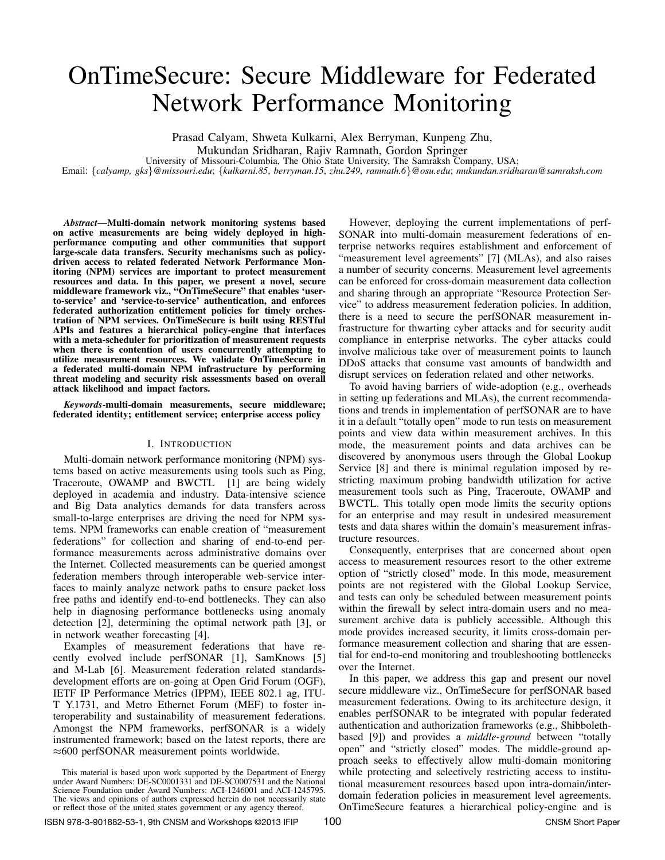# OnTimeSecure: Secure Middleware for Federated Network Performance Monitoring

Prasad Calyam, Shweta Kulkarni, Alex Berryman, Kunpeng Zhu,

Mukundan Sridharan, Rajiv Ramnath, Gordon Springer

University of Missouri-Columbia, The Ohio State University, The Samraksh Company, USA;

Email: {*calyamp, gks*}*@missouri.edu*; {*kulkarni.85*, *berryman.15*, *zhu.249*, *ramnath.6*}*@osu.edu*; *mukundan.sridharan@samraksh.com*

*Abstract*—Multi-domain network monitoring systems based on active measurements are being widely deployed in highperformance computing and other communities that support large-scale data transfers. Security mechanisms such as policydriven access to related federated Network Performance Monitoring (NPM) services are important to protect measurement resources and data. In this paper, we present a novel, secure middleware framework viz., "OnTimeSecure" that enables 'userto-service' and 'service-to-service' authentication, and enforces federated authorization entitlement policies for timely orchestration of NPM services. OnTimeSecure is built using RESTful APIs and features a hierarchical policy-engine that interfaces with a meta-scheduler for prioritization of measurement requests when there is contention of users concurrently attempting to utilize measurement resources. We validate OnTimeSecure in a federated multi-domain NPM infrastructure by performing threat modeling and security risk assessments based on overall attack likelihood and impact factors.

*Keywords*-multi-domain measurements, secure middleware; federated identity; entitlement service; enterprise access policy

## I. INTRODUCTION

Multi-domain network performance monitoring (NPM) systems based on active measurements using tools such as Ping, Traceroute, OWAMP and BWCTL [1] are being widely deployed in academia and industry. Data-intensive science and Big Data analytics demands for data transfers across small-to-large enterprises are driving the need for NPM systems. NPM frameworks can enable creation of "measurement federations" for collection and sharing of end-to-end performance measurements across administrative domains over the Internet. Collected measurements can be queried amongst federation members through interoperable web-service interfaces to mainly analyze network paths to ensure packet loss free paths and identify end-to-end bottlenecks. They can also help in diagnosing performance bottlenecks using anomaly detection [2], determining the optimal network path [3], or in network weather forecasting [4].

Examples of measurement federations that have recently evolved include perfSONAR [1], SamKnows [5] and M-Lab [6]. Measurement federation related standardsdevelopment efforts are on-going at Open Grid Forum (OGF), IETF IP Performance Metrics (IPPM), IEEE 802.1 ag, ITU-T Y.1731, and Metro Ethernet Forum (MEF) to foster interoperability and sustainability of measurement federations. Amongst the NPM frameworks, perfSONAR is a widely instrumented framework; based on the latest reports, there are ≈600 perfSONAR measurement points worldwide.

However, deploying the current implementations of perf-SONAR into multi-domain measurement federations of enterprise networks requires establishment and enforcement of "measurement level agreements" [7] (MLAs), and also raises a number of security concerns. Measurement level agreements can be enforced for cross-domain measurement data collection and sharing through an appropriate "Resource Protection Service" to address measurement federation policies. In addition, there is a need to secure the perfSONAR measurement infrastructure for thwarting cyber attacks and for security audit compliance in enterprise networks. The cyber attacks could involve malicious take over of measurement points to launch DDoS attacks that consume vast amounts of bandwidth and disrupt services on federation related and other networks.

To avoid having barriers of wide-adoption (e.g., overheads in setting up federations and MLAs), the current recommendations and trends in implementation of perfSONAR are to have it in a default "totally open" mode to run tests on measurement points and view data within measurement archives. In this mode, the measurement points and data archives can be discovered by anonymous users through the Global Lookup Service [8] and there is minimal regulation imposed by restricting maximum probing bandwidth utilization for active measurement tools such as Ping, Traceroute, OWAMP and BWCTL. This totally open mode limits the security options for an enterprise and may result in undesired measurement tests and data shares within the domain's measurement infrastructure resources.

Consequently, enterprises that are concerned about open access to measurement resources resort to the other extreme option of "strictly closed" mode. In this mode, measurement points are not registered with the Global Lookup Service, and tests can only be scheduled between measurement points within the firewall by select intra-domain users and no measurement archive data is publicly accessible. Although this mode provides increased security, it limits cross-domain performance measurement collection and sharing that are essential for end-to-end monitoring and troubleshooting bottlenecks over the Internet.

In this paper, we address this gap and present our novel secure middleware viz., OnTimeSecure for perfSONAR based measurement federations. Owing to its architecture design, it enables perfSONAR to be integrated with popular federated authentication and authorization frameworks (e.g., Shibbolethbased [9]) and provides a *middle-ground* between "totally open" and "strictly closed" modes. The middle-ground approach seeks to effectively allow multi-domain monitoring while protecting and selectively restricting access to institutional measurement resources based upon intra-domain/interdomain federation policies in measurement level agreements. OnTimeSecure features a hierarchical policy-engine and is

This material is based upon work supported by the Department of Energy under Award Numbers: DE-SC0001331 and DE-SC0007531 and the National Science Foundation under Award Numbers: ACI-1246001 and ACI-1245795. The views and opinions of authors expressed herein do not necessarily state or reflect those of the united states government or any agency thereof.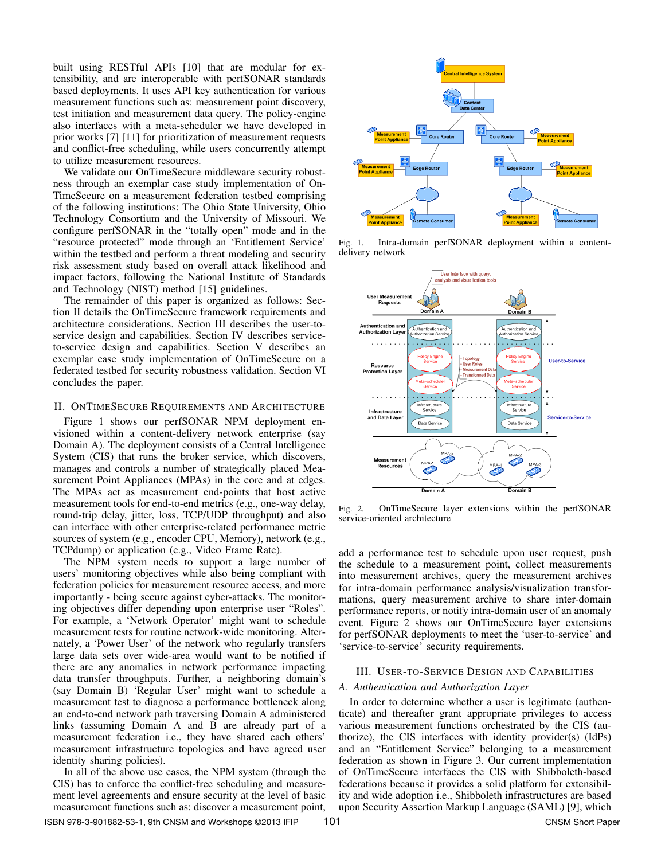built using RESTful APIs [10] that are modular for extensibility, and are interoperable with perfSONAR standards based deployments. It uses API key authentication for various measurement functions such as: measurement point discovery, test initiation and measurement data query. The policy-engine also interfaces with a meta-scheduler we have developed in prior works [7] [11] for prioritization of measurement requests and conflict-free scheduling, while users concurrently attempt to utilize measurement resources.

We validate our OnTimeSecure middleware security robustness through an exemplar case study implementation of On-TimeSecure on a measurement federation testbed comprising of the following institutions: The Ohio State University, Ohio Technology Consortium and the University of Missouri. We configure perfSONAR in the "totally open" mode and in the "resource protected" mode through an 'Entitlement Service' within the testbed and perform a threat modeling and security risk assessment study based on overall attack likelihood and impact factors, following the National Institute of Standards and Technology (NIST) method [15] guidelines.

The remainder of this paper is organized as follows: Section II details the OnTimeSecure framework requirements and architecture considerations. Section III describes the user-toservice design and capabilities. Section IV describes serviceto-service design and capabilities. Section V describes an exemplar case study implementation of OnTimeSecure on a federated testbed for security robustness validation. Section VI concludes the paper.

## II. ONTIMESECURE REQUIREMENTS AND ARCHITECTURE

Figure 1 shows our perfSONAR NPM deployment envisioned within a content-delivery network enterprise (say Domain A). The deployment consists of a Central Intelligence System (CIS) that runs the broker service, which discovers, manages and controls a number of strategically placed Measurement Point Appliances (MPAs) in the core and at edges. The MPAs act as measurement end-points that host active measurement tools for end-to-end metrics (e.g., one-way delay, round-trip delay, jitter, loss, TCP/UDP throughput) and also can interface with other enterprise-related performance metric sources of system (e.g., encoder CPU, Memory), network (e.g., TCPdump) or application (e.g., Video Frame Rate).

The NPM system needs to support a large number of users' monitoring objectives while also being compliant with federation policies for measurement resource access, and more importantly - being secure against cyber-attacks. The monitoring objectives differ depending upon enterprise user "Roles". For example, a 'Network Operator' might want to schedule measurement tests for routine network-wide monitoring. Alternately, a 'Power User' of the network who regularly transfers large data sets over wide-area would want to be notified if there are any anomalies in network performance impacting data transfer throughputs. Further, a neighboring domain's (say Domain B) 'Regular User' might want to schedule a measurement test to diagnose a performance bottleneck along an end-to-end network path traversing Domain A administered links (assuming Domain A and B are already part of a measurement federation i.e., they have shared each others' measurement infrastructure topologies and have agreed user identity sharing policies).

In all of the above use cases, the NPM system (through the CIS) has to enforce the conflict-free scheduling and measurement level agreements and ensure security at the level of basic measurement functions such as: discover a measurement point,



Fig. 1. Intra-domain perfSONAR deployment within a contentdelivery network



Fig. 2. OnTimeSecure layer extensions within the perfSONAR service-oriented architecture

add a performance test to schedule upon user request, push the schedule to a measurement point, collect measurements into measurement archives, query the measurement archives for intra-domain performance analysis/visualization transformations, query measurement archive to share inter-domain performance reports, or notify intra-domain user of an anomaly event. Figure 2 shows our OnTimeSecure layer extensions for perfSONAR deployments to meet the 'user-to-service' and 'service-to-service' security requirements.

## III. USER-TO-SERVICE DESIGN AND CAPABILITIES

## *A. Authentication and Authorization Layer*

In order to determine whether a user is legitimate (authenticate) and thereafter grant appropriate privileges to access various measurement functions orchestrated by the CIS (authorize), the CIS interfaces with identity provider(s) (IdPs) and an "Entitlement Service" belonging to a measurement federation as shown in Figure 3. Our current implementation of OnTimeSecure interfaces the CIS with Shibboleth-based federations because it provides a solid platform for extensibility and wide adoption i.e., Shibboleth infrastructures are based upon Security Assertion Markup Language (SAML) [9], which

ISBN 978-3-901882-53-1, 9th CNSM and Workshops ©2013 IFIP 101 101 CNSM Short Paper 101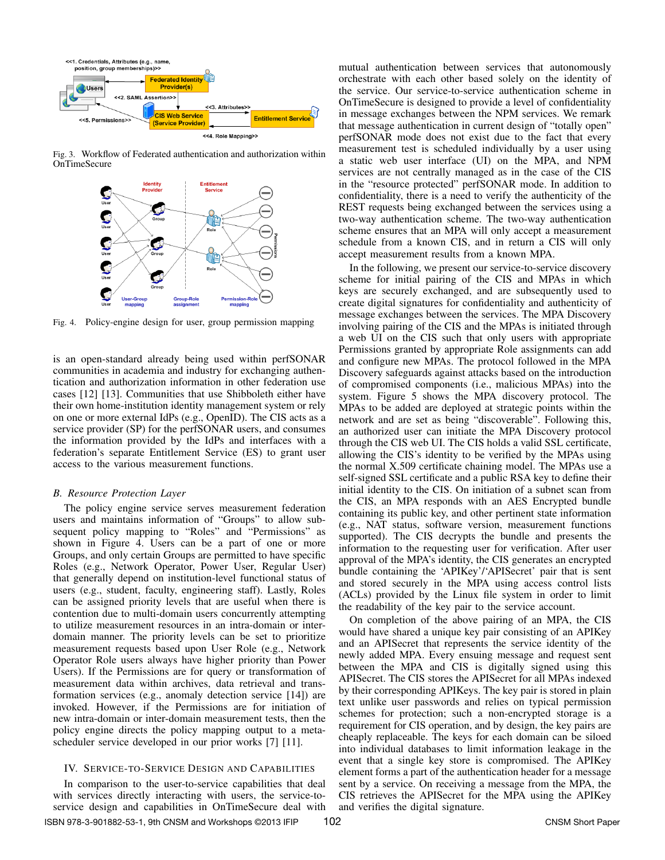

Fig. 3. Workflow of Federated authentication and authorization within OnTimeSecure



Fig. 4. Policy-engine design for user, group permission mapping

is an open-standard already being used within perfSONAR communities in academia and industry for exchanging authentication and authorization information in other federation use cases [12] [13]. Communities that use Shibboleth either have their own home-institution identity management system or rely on one or more external IdPs (e.g., OpenID). The CIS acts as a service provider (SP) for the perfSONAR users, and consumes the information provided by the IdPs and interfaces with a federation's separate Entitlement Service (ES) to grant user access to the various measurement functions.

## *B. Resource Protection Layer*

The policy engine service serves measurement federation users and maintains information of "Groups" to allow subsequent policy mapping to "Roles" and "Permissions" as shown in Figure 4. Users can be a part of one or more Groups, and only certain Groups are permitted to have specific Roles (e.g., Network Operator, Power User, Regular User) that generally depend on institution-level functional status of users (e.g., student, faculty, engineering staff). Lastly, Roles can be assigned priority levels that are useful when there is contention due to multi-domain users concurrently attempting to utilize measurement resources in an intra-domain or interdomain manner. The priority levels can be set to prioritize measurement requests based upon User Role (e.g., Network Operator Role users always have higher priority than Power Users). If the Permissions are for query or transformation of measurement data within archives, data retrieval and transformation services (e.g., anomaly detection service [14]) are invoked. However, if the Permissions are for initiation of new intra-domain or inter-domain measurement tests, then the policy engine directs the policy mapping output to a metascheduler service developed in our prior works [7] [11].

## IV. SERVICE-TO-SERVICE DESIGN AND CAPABILITIES

In comparison to the user-to-service capabilities that deal with services directly interacting with users, the service-toservice design and capabilities in OnTimeSecure deal with mutual authentication between services that autonomously orchestrate with each other based solely on the identity of the service. Our service-to-service authentication scheme in OnTimeSecure is designed to provide a level of confidentiality in message exchanges between the NPM services. We remark that message authentication in current design of "totally open" perfSONAR mode does not exist due to the fact that every measurement test is scheduled individually by a user using a static web user interface (UI) on the MPA, and NPM services are not centrally managed as in the case of the CIS in the "resource protected" perfSONAR mode. In addition to confidentiality, there is a need to verify the authenticity of the REST requests being exchanged between the services using a two-way authentication scheme. The two-way authentication scheme ensures that an MPA will only accept a measurement schedule from a known CIS, and in return a CIS will only accept measurement results from a known MPA.

In the following, we present our service-to-service discovery scheme for initial pairing of the CIS and MPAs in which keys are securely exchanged, and are subsequently used to create digital signatures for confidentiality and authenticity of message exchanges between the services. The MPA Discovery involving pairing of the CIS and the MPAs is initiated through a web UI on the CIS such that only users with appropriate Permissions granted by appropriate Role assignments can add and configure new MPAs. The protocol followed in the MPA Discovery safeguards against attacks based on the introduction of compromised components (i.e., malicious MPAs) into the system. Figure 5 shows the MPA discovery protocol. The MPAs to be added are deployed at strategic points within the network and are set as being "discoverable". Following this, an authorized user can initiate the MPA Discovery protocol through the CIS web UI. The CIS holds a valid SSL certificate, allowing the CIS's identity to be verified by the MPAs using the normal X.509 certificate chaining model. The MPAs use a self-signed SSL certificate and a public RSA key to define their initial identity to the CIS. On initiation of a subnet scan from the CIS, an MPA responds with an AES Encrypted bundle containing its public key, and other pertinent state information (e.g., NAT status, software version, measurement functions supported). The CIS decrypts the bundle and presents the information to the requesting user for verification. After user approval of the MPA's identity, the CIS generates an encrypted bundle containing the 'APIKey'/'APISecret' pair that is sent and stored securely in the MPA using access control lists (ACLs) provided by the Linux file system in order to limit the readability of the key pair to the service account.

On completion of the above pairing of an MPA, the CIS would have shared a unique key pair consisting of an APIKey and an APISecret that represents the service identity of the newly added MPA. Every ensuing message and request sent between the MPA and CIS is digitally signed using this APISecret. The CIS stores the APISecret for all MPAs indexed by their corresponding APIKeys. The key pair is stored in plain text unlike user passwords and relies on typical permission schemes for protection; such a non-encrypted storage is a requirement for CIS operation, and by design, the key pairs are cheaply replaceable. The keys for each domain can be siloed into individual databases to limit information leakage in the event that a single key store is compromised. The APIKey element forms a part of the authentication header for a message sent by a service. On receiving a message from the MPA, the CIS retrieves the APISecret for the MPA using the APIKey and verifies the digital signature.

ISBN 978-3-901882-53-1, 9th CNSM and Workshops ©2013 IFIP . CNSM Short Paper 102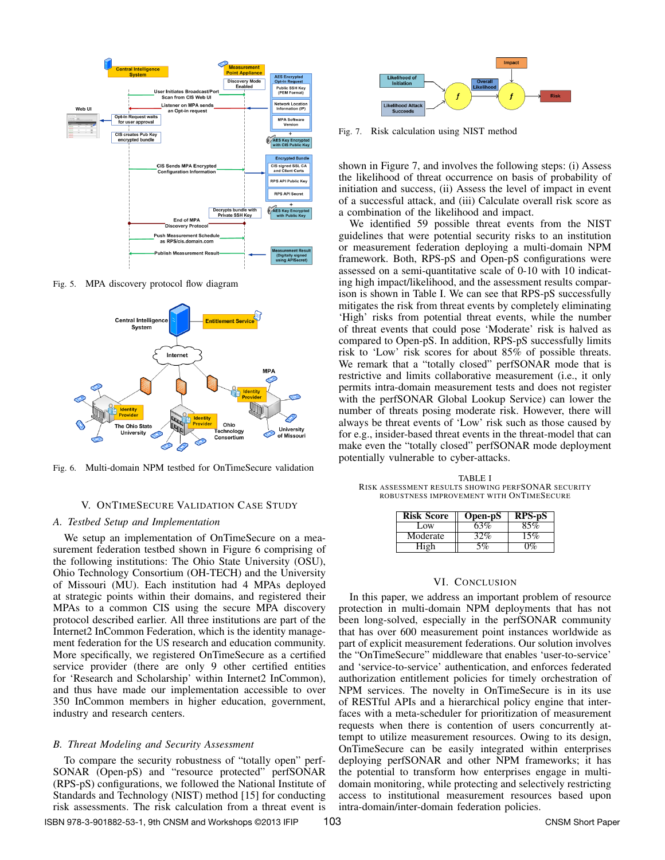

Fig. 5. MPA discovery protocol flow diagram



Fig. 6. Multi-domain NPM testbed for OnTimeSecure validation

## V. ONTIMESECURE VALIDATION CASE STUDY

## *A. Testbed Setup and Implementation*

We setup an implementation of OnTimeSecure on a measurement federation testbed shown in Figure 6 comprising of the following institutions: The Ohio State University (OSU), Ohio Technology Consortium (OH-TECH) and the University of Missouri (MU). Each institution had 4 MPAs deployed at strategic points within their domains, and registered their MPAs to a common CIS using the secure MPA discovery protocol described earlier. All three institutions are part of the Internet2 InCommon Federation, which is the identity management federation for the US research and education community. More specifically, we registered OnTimeSecure as a certified service provider (there are only 9 other certified entities for 'Research and Scholarship' within Internet2 InCommon), and thus have made our implementation accessible to over 350 InCommon members in higher education, government, industry and research centers.

#### *B. Threat Modeling and Security Assessment*

To compare the security robustness of "totally open" perf-SONAR (Open-pS) and "resource protected" perfSONAR (RPS-pS) configurations, we followed the National Institute of Standards and Technology (NIST) method [15] for conducting risk assessments. The risk calculation from a threat event is



**Risk** 

Fig. 7. Risk calculation using NIST method

shown in Figure 7, and involves the following steps: (i) Assess the likelihood of threat occurrence on basis of probability of initiation and success, (ii) Assess the level of impact in event of a successful attack, and (iii) Calculate overall risk score as a combination of the likelihood and impact.

We identified 59 possible threat events from the NIST guidelines that were potential security risks to an institution or measurement federation deploying a multi-domain NPM framework. Both, RPS-pS and Open-pS configurations were assessed on a semi-quantitative scale of 0-10 with 10 indicating high impact/likelihood, and the assessment results comparison is shown in Table I. We can see that RPS-pS successfully mitigates the risk from threat events by completely eliminating 'High' risks from potential threat events, while the number of threat events that could pose 'Moderate' risk is halved as compared to Open-pS. In addition, RPS-pS successfully limits risk to 'Low' risk scores for about 85% of possible threats. We remark that a "totally closed" perfSONAR mode that is restrictive and limits collaborative measurement (i.e., it only permits intra-domain measurement tests and does not register with the perfSONAR Global Lookup Service) can lower the number of threats posing moderate risk. However, there will always be threat events of 'Low' risk such as those caused by for e.g., insider-based threat events in the threat-model that can make even the "totally closed" perfSONAR mode deployment potentially vulnerable to cyber-attacks.

TABLE I RISK ASSESSMENT RESULTS SHOWING PERFSONAR SECURITY ROBUSTNESS IMPROVEMENT WITH ONTIMESECURE

| <b>Risk Score</b> | Open-pS | RPS-pS |
|-------------------|---------|--------|
| Low.              | 63%     | 85%    |
| Moderate          | 32%     | 15%    |
|                   | 5%      | $0\%$  |

## VI. CONCLUSION

In this paper, we address an important problem of resource protection in multi-domain NPM deployments that has not been long-solved, especially in the perfSONAR community that has over 600 measurement point instances worldwide as part of explicit measurement federations. Our solution involves the "OnTimeSecure" middleware that enables 'user-to-service' and 'service-to-service' authentication, and enforces federated authorization entitlement policies for timely orchestration of NPM services. The novelty in OnTimeSecure is in its use of RESTful APIs and a hierarchical policy engine that interfaces with a meta-scheduler for prioritization of measurement requests when there is contention of users concurrently attempt to utilize measurement resources. Owing to its design, OnTimeSecure can be easily integrated within enterprises deploying perfSONAR and other NPM frameworks; it has the potential to transform how enterprises engage in multidomain monitoring, while protecting and selectively restricting access to institutional measurement resources based upon intra-domain/inter-domain federation policies.

ISBN 978-3-901882-53-1, 9th CNSM and Workshops ©2013 IFIP . CNSM Short Paper 103